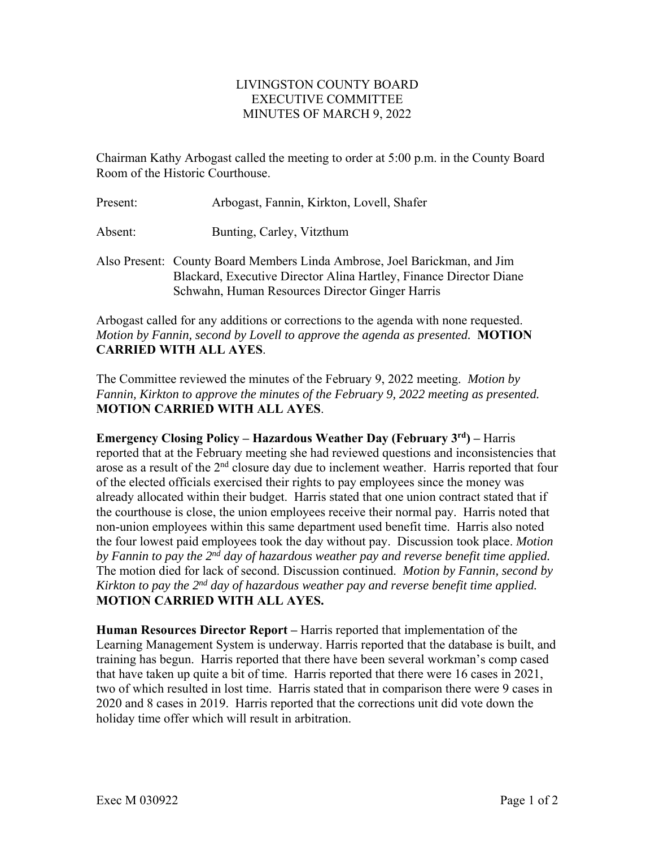## LIVINGSTON COUNTY BOARD EXECUTIVE COMMITTEE MINUTES OF MARCH 9, 2022

Chairman Kathy Arbogast called the meeting to order at 5:00 p.m. in the County Board Room of the Historic Courthouse.

| Present: | Arbogast, Fannin, Kirkton, Lovell, Shafer                                                                                                       |
|----------|-------------------------------------------------------------------------------------------------------------------------------------------------|
| Absent:  | Bunting, Carley, Vitzthum                                                                                                                       |
|          | Also Present: County Board Members Linda Ambrose, Joel Barickman, and Jim<br>Blackard, Executive Director Alina Hartley, Finance Director Diane |

Arbogast called for any additions or corrections to the agenda with none requested. *Motion by Fannin, second by Lovell to approve the agenda as presented.* **MOTION CARRIED WITH ALL AYES**.

Schwahn, Human Resources Director Ginger Harris

The Committee reviewed the minutes of the February 9, 2022 meeting. *Motion by Fannin, Kirkton to approve the minutes of the February 9, 2022 meeting as presented.*  **MOTION CARRIED WITH ALL AYES**.

**Emergency Closing Policy – Hazardous Weather Day (February 3rd) –** Harris reported that at the February meeting she had reviewed questions and inconsistencies that arose as a result of the  $2<sup>nd</sup>$  closure day due to inclement weather. Harris reported that four of the elected officials exercised their rights to pay employees since the money was already allocated within their budget. Harris stated that one union contract stated that if the courthouse is close, the union employees receive their normal pay. Harris noted that non-union employees within this same department used benefit time. Harris also noted the four lowest paid employees took the day without pay. Discussion took place. *Motion by Fannin to pay the 2nd day of hazardous weather pay and reverse benefit time applied.*  The motion died for lack of second. Discussion continued. *Motion by Fannin, second by Kirkton to pay the 2nd day of hazardous weather pay and reverse benefit time applied.*  **MOTION CARRIED WITH ALL AYES.** 

**Human Resources Director Report –** Harris reported that implementation of the Learning Management System is underway. Harris reported that the database is built, and training has begun. Harris reported that there have been several workman's comp cased that have taken up quite a bit of time. Harris reported that there were 16 cases in 2021, two of which resulted in lost time. Harris stated that in comparison there were 9 cases in 2020 and 8 cases in 2019. Harris reported that the corrections unit did vote down the holiday time offer which will result in arbitration.